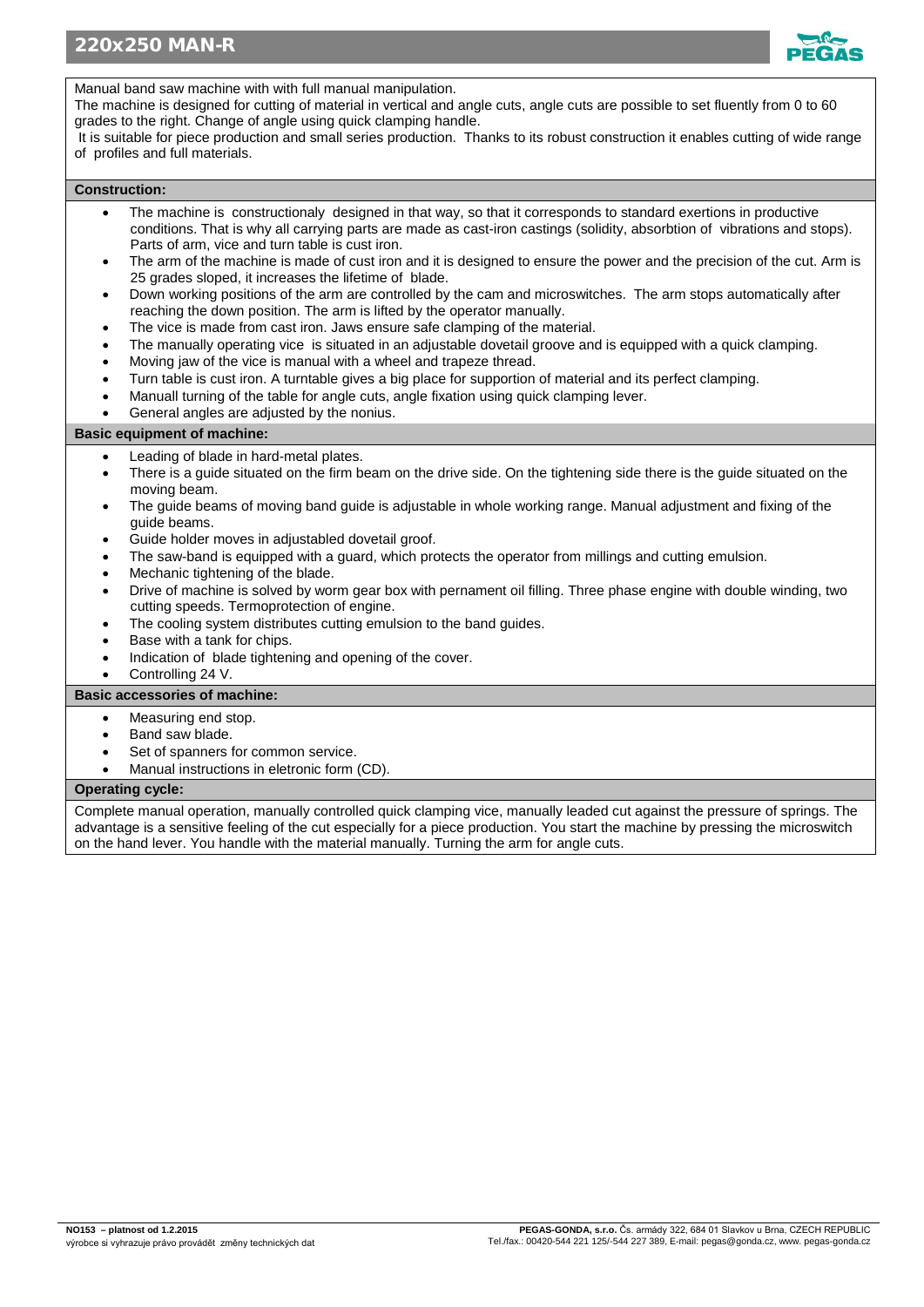

Manual band saw machine with with full manual manipulation.

The machine is designed for cutting of material in vertical and angle cuts, angle cuts are possible to set fluently from 0 to 60 grades to the right. Change of angle using quick clamping handle.

It is suitable for piece production and small series production. Thanks to its robust construction it enables cutting of wide range of profiles and full materials.

## **Construction:**

- The machine is constructionaly designed in that way, so that it corresponds to standard exertions in productive conditions. That is why all carrying parts are made as cast-iron castings (solidity, absorbtion of vibrations and stops). Parts of arm, vice and turn table is cust iron.
- The arm of the machine is made of cust iron and it is designed to ensure the power and the precision of the cut. Arm is 25 grades sloped, it increases the lifetime of blade.
- Down working positions of the arm are controlled by the cam and microswitches. The arm stops automatically after reaching the down position. The arm is lifted by the operator manually.
- The vice is made from cast iron. Jaws ensure safe clamping of the material.
- The manually operating vice is situated in an adjustable dovetail groove and is equipped with a quick clamping.
- Moving jaw of the vice is manual with a wheel and trapeze thread.
- Turn table is cust iron. A turntable gives a big place for supportion of material and its perfect clamping.
- Manuall turning of the table for angle cuts, angle fixation using quick clamping lever.
- General angles are adjusted by the nonius.

## **Basic equipment of machine:**

- Leading of blade in hard-metal plates.
- There is a quide situated on the firm beam on the drive side. On the tightening side there is the quide situated on the moving beam.
- The guide beams of moving band guide is adjustable in whole working range. Manual adjustment and fixing of the guide beams.
- Guide holder moves in adjustabled dovetail groof.
- The saw-band is equipped with a guard, which protects the operator from millings and cutting emulsion.
- Mechanic tightening of the blade.
- Drive of machine is solved by worm gear box with pernament oil filling. Three phase engine with double winding, two cutting speeds. Termoprotection of engine.
- The cooling system distributes cutting emulsion to the band guides.
- Base with a tank for chips.
- Indication of blade tightening and opening of the cover.
- Controlling 24 V.

## **Basic accessories of machine:**

- Measuring end stop.
- Band saw blade.
- Set of spanners for common service.
- Manual instructions in eletronic form (CD).

## **Operating cycle:**

Complete manual operation, manually controlled quick clamping vice, manually leaded cut against the pressure of springs. The advantage is a sensitive feeling of the cut especially for a piece production. You start the machine by pressing the microswitch on the hand lever. You handle with the material manually. Turning the arm for angle cuts.